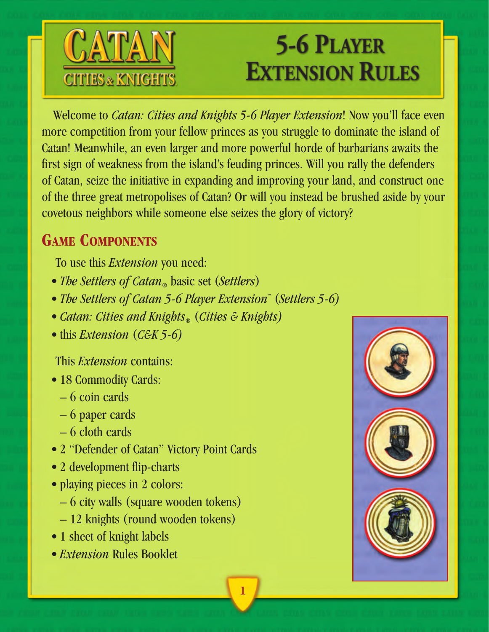

# **5-6 PLAYER EXTENSION RULES**

Welcome to *Catan: Cities and Knights 5-6 Player Extension*! Now you'll face even more competition from your fellow princes as you struggle to dominate the island of Catan! Meanwhile, an even larger and more powerful horde of barbarians awaits the first sign of weakness from the island's feuding princes. Will you rally the defenders of Catan, seize the initiative in expanding and improving your land, and construct one of the three great metropolises of Catan? Or will you instead be brushed aside by your covetous neighbors while someone else seizes the glory of victory?

**1**

# **GAME COMPONENTS**

To use this *Extension* you need:

- *The Settlers of Catan*<sub>®</sub> basic set (*Settlers*)
- *The Settlers of Catan 5-6 Player Extension™* (*Settlers 5-6)*
- *Catan: Cities and Knights®* (*Cities & Knights)*
- this *Extension* (*C&K 5-6)*

This *Extension* contains:

- 18 Commodity Cards:
	- 6 coin cards
	- 6 paper cards
	- 6 cloth cards
- 2 "Defender of Catan" Victory Point Cards
- 2 development flip-charts
- playing pieces in 2 colors:
	- 6 city walls (square wooden tokens)
	- 12 knights (round wooden tokens)
- 1 sheet of knight labels
- *Extension* Rules Booklet

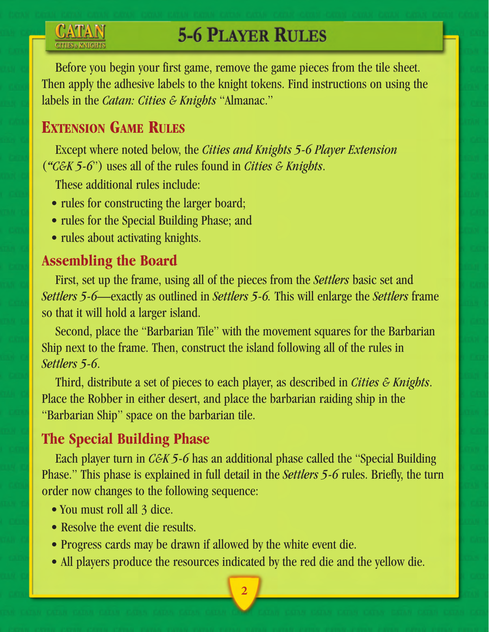# **5-6 PLAYER RULES**

Before you begin your first game, remove the game pieces from the tile sheet. Then apply the adhesive labels to the knight tokens. Find instructions on using the labels in the *Catan: Cities & Knights* "Almanac."

# **EXTENSION GAME RULES**

Except where noted below, the *Cities and Knights 5-6 Player Extension* (*"C&K 5-6*") uses all of the rules found in *Cities & Knights*.

These additional rules include:

- rules for constructing the larger board;
- rules for the Special Building Phase; and
- rules about activating knights.

### **Assembling the Board**

First, set up the frame, using all of the pieces from the *Settlers* basic set and *Settlers 5-6*—exactly as outlined in *Settlers 5-6.* This will enlarge the *Settlers* frame so that it will hold a larger island.

Second, place the "Barbarian Tile" with the movement squares for the Barbarian Ship next to the frame. Then, construct the island following all of the rules in *Settlers 5-6*.

Third, distribute a set of pieces to each player, as described in *Cities & Knights*. Place the Robber in either desert, and place the barbarian raiding ship in the "Barbarian Ship" space on the barbarian tile.

## **The Special Building Phase**

Each player turn in *C&K 5-6* has an additional phase called the "Special Building Phase." This phase is explained in full detail in the *Settlers 5-6* rules. Briefly, the turn order now changes to the following sequence:

- You must roll all 3 dice.
- Resolve the event die results.
- Progress cards may be drawn if allowed by the white event die.
- All players produce the resources indicated by the red die and the yellow die.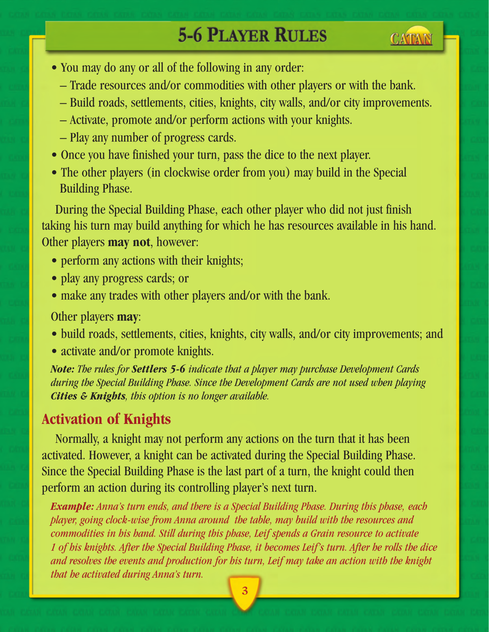# **5-6 PLAYER RULES**

**CATAN** 



- Trade resources and/or commodities with other players or with the bank.
- Build roads, settlements, cities, knights, city walls, and/or city improvements.
- Activate, promote and/or perform actions with your knights.
- Play any number of progress cards.
- Once you have finished your turn, pass the dice to the next player.
- The other players (in clockwise order from you) may build in the Special Building Phase.

During the Special Building Phase, each other player who did not just finish taking his turn may build anything for which he has resources available in his hand. Other players **may not**, however:

- perform any actions with their knights;
- play any progress cards; or
- make any trades with other players and/or with the bank.

#### Other players **may**:

- build roads, settlements, cities, knights, city walls, and/or city improvements; and
- activate and/or promote knights.

*Note: The rules for Settlers 5-6 indicate that a player may purchase Development Cards during the Special Building Phase. Since the Development Cards are not used when playing Cities & Knights, this option is no longer available.*

### **Activation of Knights**

Normally, a knight may not perform any actions on the turn that it has been activated. However, a knight can be activated during the Special Building Phase. Since the Special Building Phase is the last part of a turn, the knight could then perform an action during its controlling player's next turn.

*Example: Anna's turn ends, and there is a Special Building Phase. During this phase, each player, going clock-wise from Anna around the table, may build with the resources and commodities in his hand. Still during this phase, Leif spends a Grain resource to activate 1 of his knights. After the Special Building Phase, it becomes Leif's turn. After he rolls the dice and resolves the events and production for his turn, Leif may take an action with the knight that he activated during Anna's turn.*